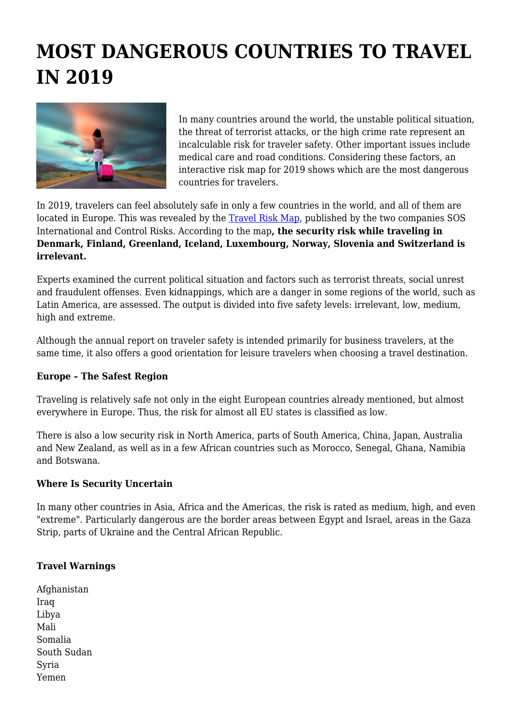# **MOST DANGEROUS COUNTRIES TO TRAVEL IN 2019**



In many countries around the world, the unstable political situation, the threat of terrorist attacks, or the high crime rate represent an incalculable risk for traveler safety. Other important issues include medical care and road conditions. Considering these factors, an interactive risk map for 2019 shows which are the most dangerous countries for travelers.

In 2019, travelers can feel absolutely safe in only a few countries in the world, and all of them are located in Europe. This was revealed by the [Travel Risk Map,](https://www.travelriskmap.com/#/planner/locations) published by the two companies SOS International and Control Risks. According to the map**, the security risk while traveling in Denmark, Finland, Greenland, Iceland, Luxembourg, Norway, Slovenia and Switzerland is irrelevant.**

Experts examined the current political situation and factors such as terrorist threats, social unrest and fraudulent offenses. Even kidnappings, which are a danger in some regions of the world, such as Latin America, are assessed. The output is divided into five safety levels: irrelevant, low, medium, high and extreme.

Although the annual report on traveler safety is intended primarily for business travelers, at the same time, it also offers a good orientation for leisure travelers when choosing a travel destination.

#### **Europe – The Safest Region**

Traveling is relatively safe not only in the eight European countries already mentioned, but almost everywhere in Europe. Thus, the risk for almost all EU states is classified as low.

There is also a low security risk in North America, parts of South America, China, Japan, Australia and New Zealand, as well as in a few African countries such as Morocco, Senegal, Ghana, Namibia and Botswana.

#### **Where Is Security Uncertain**

In many other countries in Asia, Africa and the Americas, the risk is rated as medium, high, and even "extreme". Particularly dangerous are the border areas between Egypt and Israel, areas in the Gaza Strip, parts of Ukraine and the Central African Republic.

## **Travel Warnings**

Afghanistan Iraq Libya Mali Somalia South Sudan Syria Yemen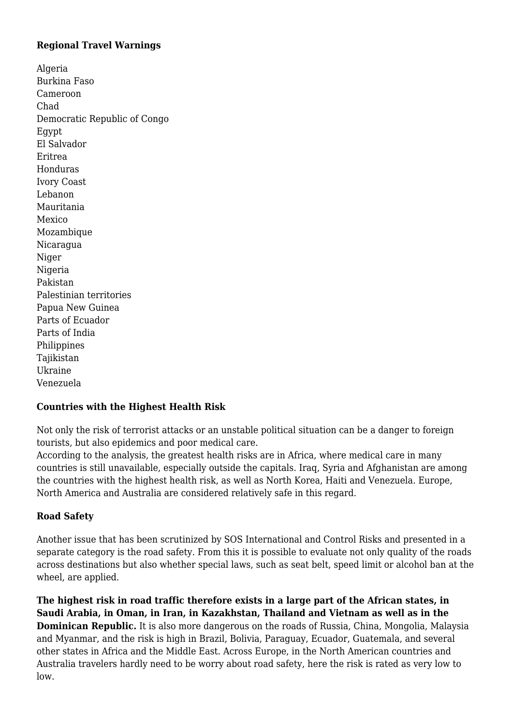#### **Regional Travel Warnings**

Algeria Burkina Faso Cameroon Chad Democratic Republic of Congo Egypt El Salvador Eritrea Honduras Ivory Coast Lebanon Mauritania Mexico Mozambique Nicaragua Niger Nigeria Pakistan Palestinian territories Papua New Guinea Parts of Ecuador Parts of India Philippines Tajikistan Ukraine Venezuela

## **Countries with the Highest Health Risk**

Not only the risk of terrorist attacks or an unstable political situation can be a danger to foreign tourists, but also epidemics and poor medical care.

According to the analysis, the greatest health risks are in Africa, where medical care in many countries is still unavailable, especially outside the capitals. Iraq, Syria and Afghanistan are among the countries with the highest health risk, as well as North Korea, Haiti and Venezuela. Europe, North America and Australia are considered relatively safe in this regard.

## **Road Safety**

Another issue that has been scrutinized by SOS International and Control Risks and presented in a separate category is the road safety. From this it is possible to evaluate not only quality of the roads across destinations but also whether special laws, such as seat belt, speed limit or alcohol ban at the wheel, are applied.

**The highest risk in road traffic therefore exists in a large part of the African states, in Saudi Arabia, in Oman, in Iran, in Kazakhstan, Thailand and Vietnam as well as in the Dominican Republic.** It is also more dangerous on the roads of Russia, China, Mongolia, Malaysia and Myanmar, and the risk is high in Brazil, Bolivia, Paraguay, Ecuador, Guatemala, and several other states in Africa and the Middle East. Across Europe, in the North American countries and Australia travelers hardly need to be worry about road safety, here the risk is rated as very low to low.